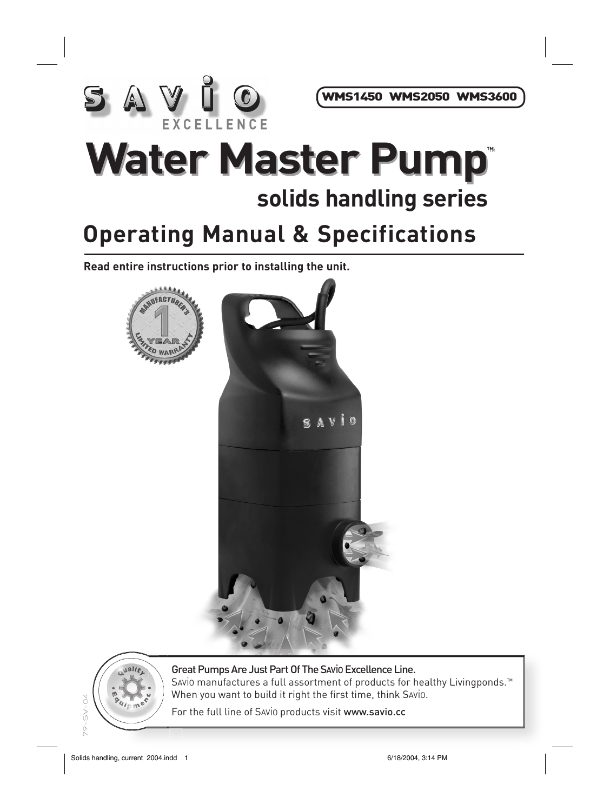

WMS1450 WMS2050 WMS3600

## **Water Master Pump™ solids handling series**

## **Operating Manual & Specifications**

**Read entire instructions prior to installing the unit.**





Great Pumps Are Just Part Of The SAViO Excellence Line. Savio manufactures a full assortment of products for healthy Livingponds.<sup>™</sup> When you want to build it right the first time, think SAViO.

For the full line of Savio products visit www.savio.cc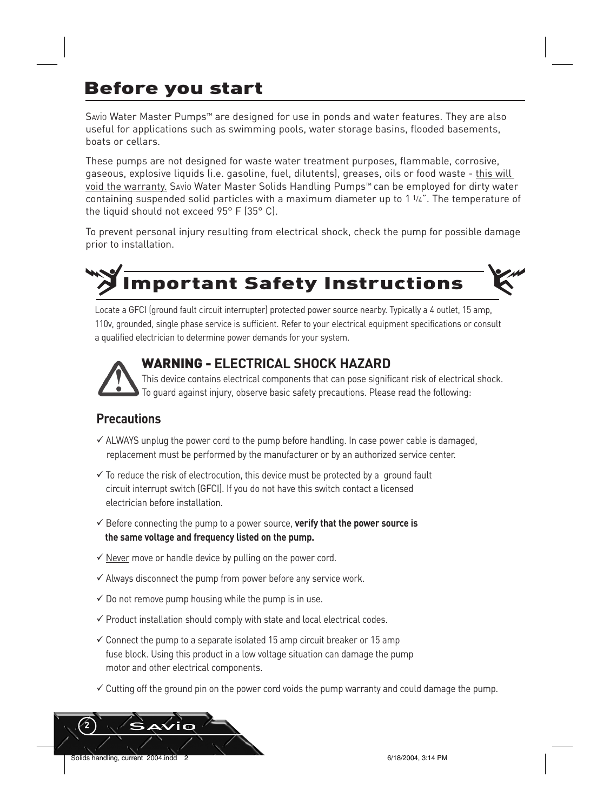### Before you start

SAViO Water Master Pumps™ are designed for use in ponds and water features. They are also useful for applications such as swimming pools, water storage basins, flooded basements, boats or cellars.

These pumps are not designed for waste water treatment purposes, flammable, corrosive, gaseous, explosive liquids (i.e. gasoline, fuel, dilutents), greases, oils or food waste - this will void the warranty. SAViO Water Master Solids Handling Pumps™ can be employed for dirty water containing suspended solid particles with a maximum diameter up to 1 1/4". The temperature of the liquid should not exceed 95° F (35° C).

To prevent personal injury resulting from electrical shock, check the pump for possible damage prior to installation.

# **IMPORTANT Safety Instructions**

Locate a GFCI (ground fault circuit interrupter) protected power source nearby. Typically a 4 outlet, 15 amp, 110v, grounded, single phase service is sufficient. Refer to your electrical equipment specifications or consult a qualified electrician to determine power demands for your system.



#### WARNING - **ELECTRICAL SHOCK HAZARD**

 This device contains electrical components that can pose significant risk of electrical shock. To guard against injury, observe basic safety precautions. Please read the following:

#### **Precautions**

- $\checkmark$  ALWAYS unplug the power cord to the pump before handling. In case power cable is damaged, replacement must be performed by the manufacturer or by an authorized service center.
- $\checkmark$  To reduce the risk of electrocution, this device must be protected by a ground fault circuit interrupt switch (GFCI). If you do not have this switch contact a licensed electrician before installation.
- ü Before connecting the pump to a power source, **verify that the power source is the same voltage and frequency listed on the pump.**
- $\checkmark$  Never move or handle device by pulling on the power cord.
- $\checkmark$  Always disconnect the pump from power before any service work.
- $\checkmark$  Do not remove pump housing while the pump is in use.
- $\checkmark$  Product installation should comply with state and local electrical codes.
- $\checkmark$  Connect the pump to a separate isolated 15 amp circuit breaker or 15 amp fuse block. Using this product in a low voltage situation can damage the pump motor and other electrical components.
- $\checkmark$  Cutting off the ground pin on the power cord voids the pump warranty and could damage the pump.

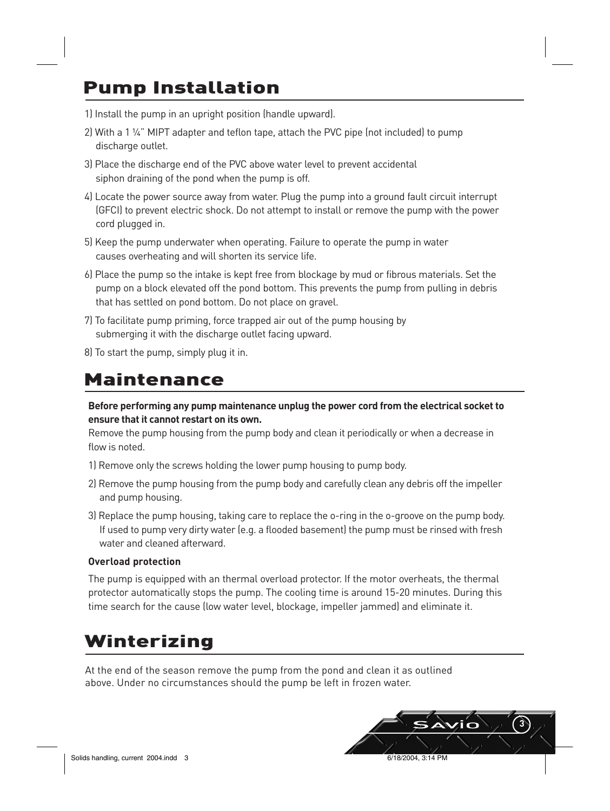### Pump Installation

- 1) Install the pump in an upright position (handle upward).
- 2) With a 1  $\frac{1}{4}$ " MIPT adapter and teflon tape, attach the PVC pipe (not included) to pump discharge outlet.
- 3) Place the discharge end of the PVC above water level to prevent accidental siphon draining of the pond when the pump is off.
- 4) Locate the power source away from water. Plug the pump into a ground fault circuit interrupt (GFCI) to prevent electric shock. Do not attempt to install or remove the pump with the power cord plugged in.
- 5) Keep the pump underwater when operating. Failure to operate the pump in water causes overheating and will shorten its service life.
- 6) Place the pump so the intake is kept free from blockage by mud or fibrous materials. Set the pump on a block elevated off the pond bottom. This prevents the pump from pulling in debris that has settled on pond bottom. Do not place on gravel.
- 7) To facilitate pump priming, force trapped air out of the pump housing by submerging it with the discharge outlet facing upward.
- 8) To start the pump, simply plug it in.

#### Maintenance

**Before performing any pump maintenance unplug the power cord from the electrical socket to ensure that it cannot restart on its own.**

Remove the pump housing from the pump body and clean it periodically or when a decrease in flow is noted.

- 1) Remove only the screws holding the lower pump housing to pump body.
- 2) Remove the pump housing from the pump body and carefully clean any debris off the impeller and pump housing.
- 3) Replace the pump housing, taking care to replace the o-ring in the o-groove on the pump body. If used to pump very dirty water (e.g. a flooded basement) the pump must be rinsed with fresh water and cleaned afterward.

#### **Overload protection**

The pump is equipped with an thermal overload protector. If the motor overheats, the thermal protector automatically stops the pump. The cooling time is around 15-20 minutes. During this time search for the cause (low water level, blockage, impeller jammed) and eliminate it.

#### Winterizing

At the end of the season remove the pump from the pond and clean it as outlined above. Under no circumstances should the pump be left in frozen water.